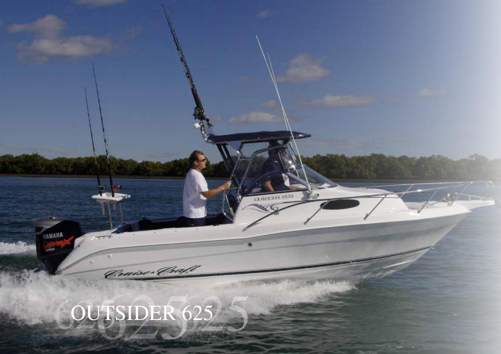